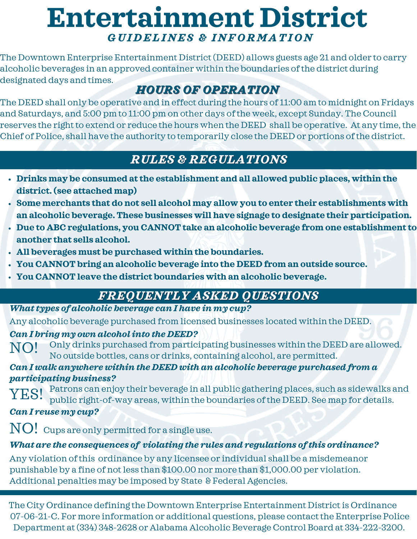# **Entertainment District** *G U I D ELI N ES & I N F O R M A TI O N*

The Downtown Enterprise Entertainment District(DEED) allows guests age 21 and older to carry alcoholic beverages in an approved container within the boundaries of the district during designated days and times.

## *HOURS OF OPERATION*

The DEED shall only be operative and in effect during the hours of 11:00 am to midnight on Fridays and Saturdays, and 5:00 pm to 11:00 pm on other days of the week, except Sunday. The Council reserves the right to extend or reduce the hours when the DEED shall be operative. At any time, the Chief of Police, shall have the authority to temporarily close the DEED or portions of the district.

### *RULES & REGULATIONS*

- **Drinks may be consumed at the establishment and all allowed public places, within the district. (see attached map)**
- **Some merchants that do not sell alcohol may allow you to enter their establishments with an alcoholic beverage. These businesses will have signage to designate their participation.**
- **Due to ABC regulations, you CANNOT take an alcoholic beverage from one establishment to another that sells alcohol.**
- **All beverages must be purchased within the boundaries.**
- **You CANNOT bring an alcoholic beverage into the DEED from an outside source.**
- **You CANNOT leave the district boundaries with an alcoholic beverage.**

## *FREQUENTLY ASKED QUESTIONS*

#### *Whattypes of alcoholic beverage can I have in my cup?*

Any alcoholic beverage purchased from licensed businesses located within the DEED.

#### *Can I bring my own alcoholinto the DEED?*

NO! Only drinks purchased from participating businesses within the DEED are allowed. No outside bottles, cans or drinks, containing alcohol, are permitted.

#### *Can I walk anywhere within the DEED with an alcoholic beverage purchased from a participating business?*

Patrons can enjoy their beverage in all public gathering places, such as sidewalks and public right-of-way areas, within the boundaries of the DEED. See map for details. ES!

#### *Can I reuse my cup?*

 $\rm NO!$  Cups are only permitted for a single use.

#### *What are the consequences of violating the rules and regulations of this ordinance?*

Any violation of this ordinance by any licensee or individual shall be a misdemeanor punishable by a fine of notless than \$100.00 nor more than \$1,000.00 per violation. Additional penalties may be imposed by State & Federal Agencies.

The City Ordinance defining the Downtown Enterprise Entertainment District is Ordinance 07-06-21-C. For more information or additional questions, please contact the Enterprise Police Department at(334) 348-2628 or Alabama Alcoholic Beverage Control Board at 334-222-3200.